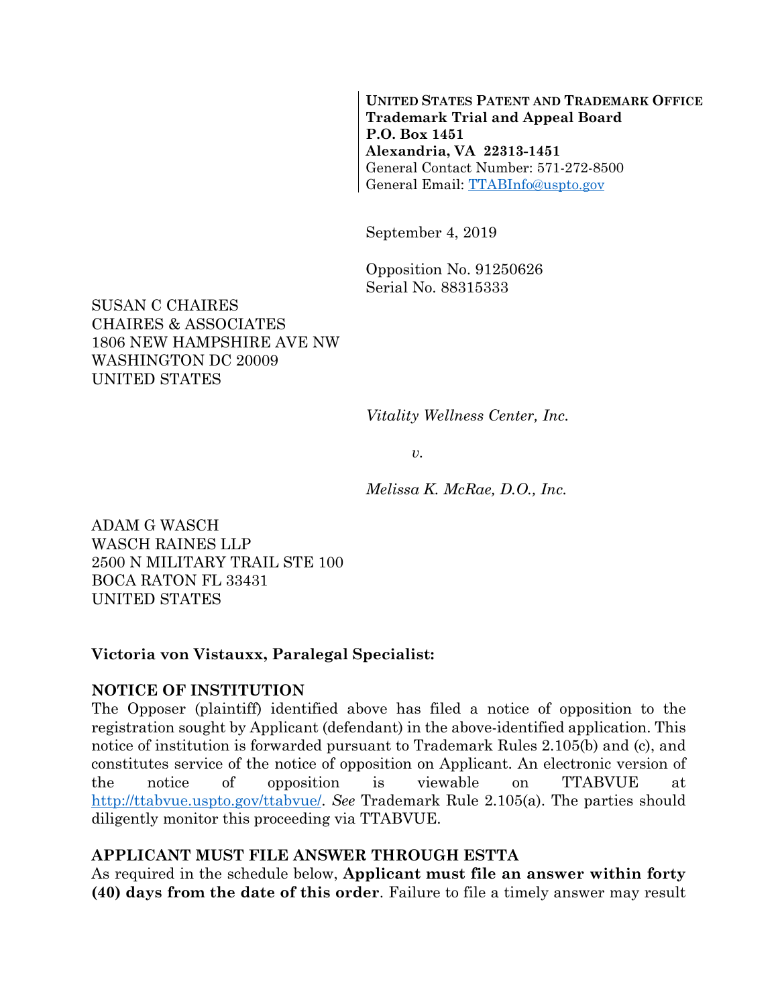**UNITED STATES PATENT AND TRADEMARK OFFICE Trademark Trial and Appeal Board P.O. Box 1451 Alexandria, VA 22313-1451**  General Contact Number: 571-272-8500 General Email: TTABInfo@uspto.gov

September 4, 2019

Opposition No. 91250626 Serial No. 88315333

SUSAN C CHAIRES CHAIRES & ASSOCIATES 1806 NEW HAMPSHIRE AVE NW WASHINGTON DC 20009 UNITED STATES

*Vitality Wellness Center, Inc.* 

*v.* 

*Melissa K. McRae, D.O., Inc.* 

ADAM G WASCH WASCH RAINES LLP 2500 N MILITARY TRAIL STE 100 BOCA RATON FL 33431 UNITED STATES

#### **Victoria von Vistauxx, Paralegal Specialist:**

#### **NOTICE OF INSTITUTION**

The Opposer (plaintiff) identified above has filed a notice of opposition to the registration sought by Applicant (defendant) in the above-identified application. This notice of institution is forwarded pursuant to Trademark Rules 2.105(b) and (c), and constitutes service of the notice of opposition on Applicant. An electronic version of the notice of opposition is viewable on TTABVUE at http://ttabvue.uspto.gov/ttabvue/. *See* Trademark Rule 2.105(a). The parties should diligently monitor this proceeding via TTABVUE.

#### **APPLICANT MUST FILE ANSWER THROUGH ESTTA**

As required in the schedule below, **Applicant must file an answer within forty (40) days from the date of this order**. Failure to file a timely answer may result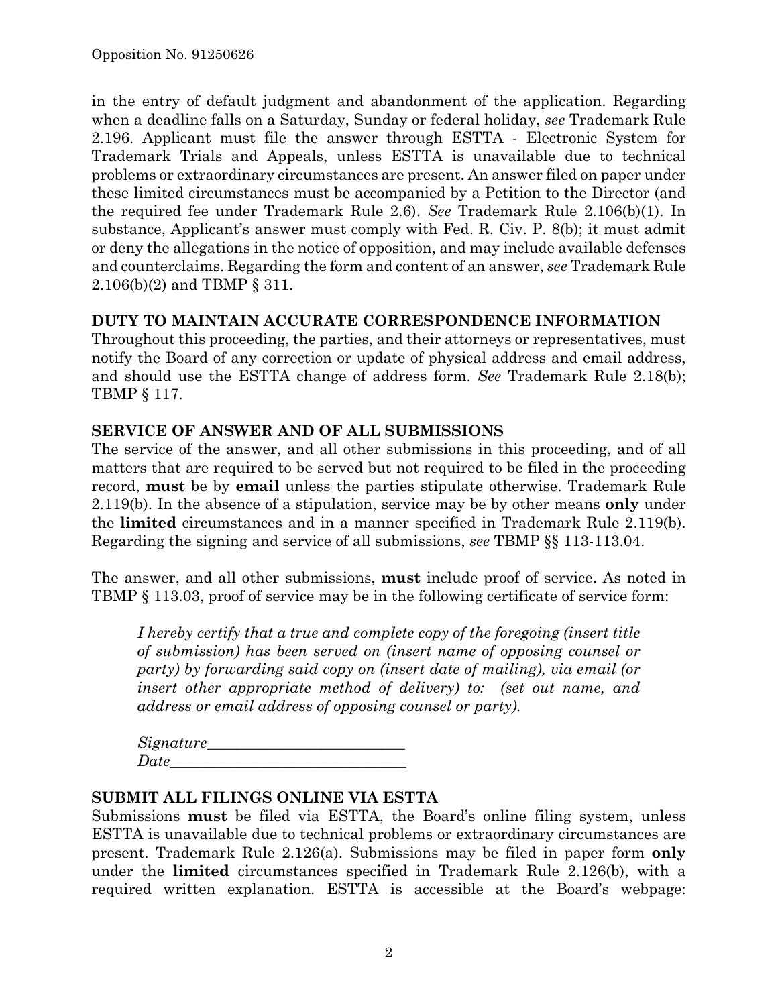in the entry of default judgment and abandonment of the application. Regarding when a deadline falls on a Saturday, Sunday or federal holiday, *see* Trademark Rule 2.196. Applicant must file the answer through ESTTA - Electronic System for Trademark Trials and Appeals, unless ESTTA is unavailable due to technical problems or extraordinary circumstances are present. An answer filed on paper under these limited circumstances must be accompanied by a Petition to the Director (and the required fee under Trademark Rule 2.6). *See* Trademark Rule 2.106(b)(1). In substance, Applicant's answer must comply with Fed. R. Civ. P. 8(b); it must admit or deny the allegations in the notice of opposition, and may include available defenses and counterclaims. Regarding the form and content of an answer, *see* Trademark Rule 2.106(b)(2) and TBMP § 311.

### **DUTY TO MAINTAIN ACCURATE CORRESPONDENCE INFORMATION**

Throughout this proceeding, the parties, and their attorneys or representatives, must notify the Board of any correction or update of physical address and email address, and should use the ESTTA change of address form. *See* Trademark Rule 2.18(b); TBMP § 117.

## **SERVICE OF ANSWER AND OF ALL SUBMISSIONS**

The service of the answer, and all other submissions in this proceeding, and of all matters that are required to be served but not required to be filed in the proceeding record, **must** be by **email** unless the parties stipulate otherwise. Trademark Rule 2.119(b). In the absence of a stipulation, service may be by other means **only** under the **limited** circumstances and in a manner specified in Trademark Rule 2.119(b). Regarding the signing and service of all submissions, *see* TBMP §§ 113-113.04.

The answer, and all other submissions, **must** include proof of service. As noted in TBMP § 113.03, proof of service may be in the following certificate of service form:

*I hereby certify that a true and complete copy of the foregoing (insert title of submission) has been served on (insert name of opposing counsel or party) by forwarding said copy on (insert date of mailing), via email (or insert other appropriate method of delivery) to: (set out name, and address or email address of opposing counsel or party).* 

 $Signature$  $Date$ 

### **SUBMIT ALL FILINGS ONLINE VIA ESTTA**

Submissions **must** be filed via ESTTA, the Board's online filing system, unless ESTTA is unavailable due to technical problems or extraordinary circumstances are present. Trademark Rule 2.126(a). Submissions may be filed in paper form **only** under the **limited** circumstances specified in Trademark Rule 2.126(b), with a required written explanation. ESTTA is accessible at the Board's webpage: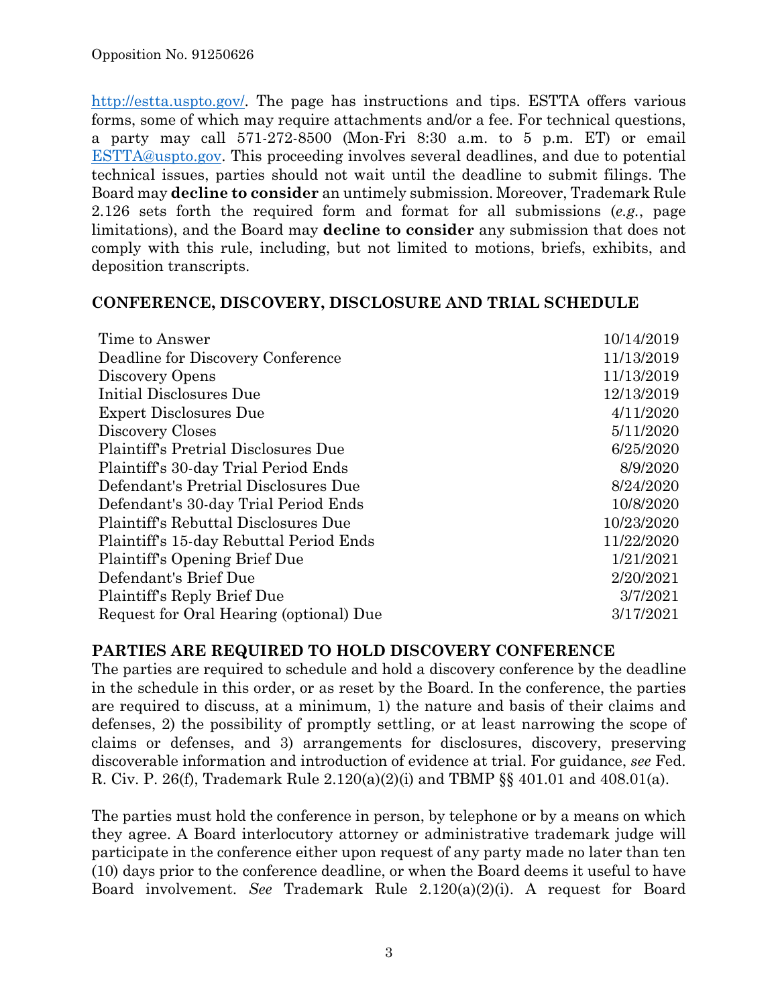http://estta.uspto.gov/. The page has instructions and tips. ESTTA offers various forms, some of which may require attachments and/or a fee. For technical questions, a party may call 571-272-8500 (Mon-Fri 8:30 a.m. to 5 p.m. ET) or email ESTTA@uspto.gov. This proceeding involves several deadlines, and due to potential technical issues, parties should not wait until the deadline to submit filings. The Board may **decline to consider** an untimely submission. Moreover, Trademark Rule 2.126 sets forth the required form and format for all submissions (*e.g.*, page limitations), and the Board may **decline to consider** any submission that does not comply with this rule, including, but not limited to motions, briefs, exhibits, and deposition transcripts.

#### **CONFERENCE, DISCOVERY, DISCLOSURE AND TRIAL SCHEDULE**

| 10/14/2019 |
|------------|
| 11/13/2019 |
| 11/13/2019 |
| 12/13/2019 |
| 4/11/2020  |
| 5/11/2020  |
| 6/25/2020  |
| 8/9/2020   |
| 8/24/2020  |
| 10/8/2020  |
| 10/23/2020 |
| 11/22/2020 |
| 1/21/2021  |
| 2/20/2021  |
| 3/7/2021   |
| 3/17/2021  |
|            |

### **PARTIES ARE REQUIRED TO HOLD DISCOVERY CONFERENCE**

The parties are required to schedule and hold a discovery conference by the deadline in the schedule in this order, or as reset by the Board. In the conference, the parties are required to discuss, at a minimum, 1) the nature and basis of their claims and defenses, 2) the possibility of promptly settling, or at least narrowing the scope of claims or defenses, and 3) arrangements for disclosures, discovery, preserving discoverable information and introduction of evidence at trial. For guidance, *see* Fed. R. Civ. P. 26(f), Trademark Rule 2.120(a)(2)(i) and TBMP §§ 401.01 and 408.01(a).

The parties must hold the conference in person, by telephone or by a means on which they agree. A Board interlocutory attorney or administrative trademark judge will participate in the conference either upon request of any party made no later than ten (10) days prior to the conference deadline, or when the Board deems it useful to have Board involvement. *See* Trademark Rule 2.120(a)(2)(i). A request for Board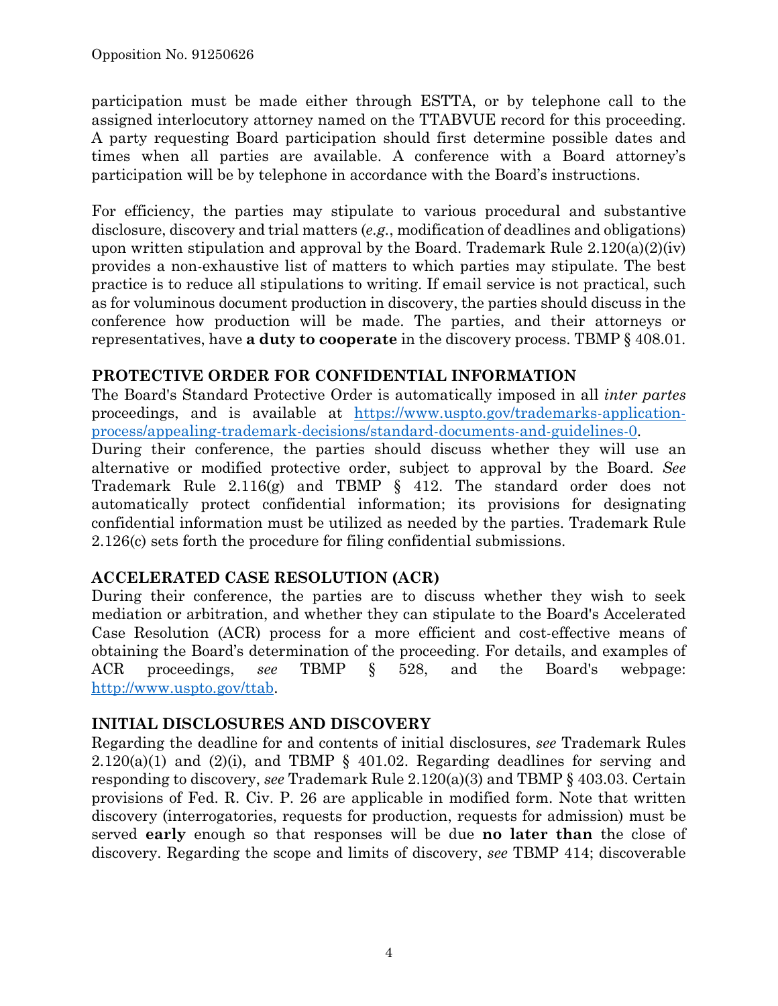participation must be made either through ESTTA, or by telephone call to the assigned interlocutory attorney named on the TTABVUE record for this proceeding. A party requesting Board participation should first determine possible dates and times when all parties are available. A conference with a Board attorney's participation will be by telephone in accordance with the Board's instructions.

For efficiency, the parties may stipulate to various procedural and substantive disclosure, discovery and trial matters (*e.g.*, modification of deadlines and obligations) upon written stipulation and approval by the Board. Trademark Rule  $2.120(a)(2)(iv)$ provides a non-exhaustive list of matters to which parties may stipulate. The best practice is to reduce all stipulations to writing. If email service is not practical, such as for voluminous document production in discovery, the parties should discuss in the conference how production will be made. The parties, and their attorneys or representatives, have **a duty to cooperate** in the discovery process. TBMP § 408.01.

## **PROTECTIVE ORDER FOR CONFIDENTIAL INFORMATION**

The Board's Standard Protective Order is automatically imposed in all *inter partes* proceedings, and is available at https://www.uspto.gov/trademarks-applicationprocess/appealing-trademark-decisions/standard-documents-and-guidelines-0.

During their conference, the parties should discuss whether they will use an alternative or modified protective order, subject to approval by the Board. *See* Trademark Rule 2.116(g) and TBMP § 412. The standard order does not automatically protect confidential information; its provisions for designating confidential information must be utilized as needed by the parties. Trademark Rule 2.126(c) sets forth the procedure for filing confidential submissions.

## **ACCELERATED CASE RESOLUTION (ACR)**

During their conference, the parties are to discuss whether they wish to seek mediation or arbitration, and whether they can stipulate to the Board's Accelerated Case Resolution (ACR) process for a more efficient and cost-effective means of obtaining the Board's determination of the proceeding. For details, and examples of ACR proceedings, *see* TBMP § 528, and the Board's webpage: http://www.uspto.gov/ttab.

## **INITIAL DISCLOSURES AND DISCOVERY**

Regarding the deadline for and contents of initial disclosures, *see* Trademark Rules  $2.120(a)(1)$  and  $(2)(i)$ , and TBMP § 401.02. Regarding deadlines for serving and responding to discovery, *see* Trademark Rule 2.120(a)(3) and TBMP § 403.03. Certain provisions of Fed. R. Civ. P. 26 are applicable in modified form. Note that written discovery (interrogatories, requests for production, requests for admission) must be served **early** enough so that responses will be due **no later than** the close of discovery. Regarding the scope and limits of discovery, *see* TBMP 414; discoverable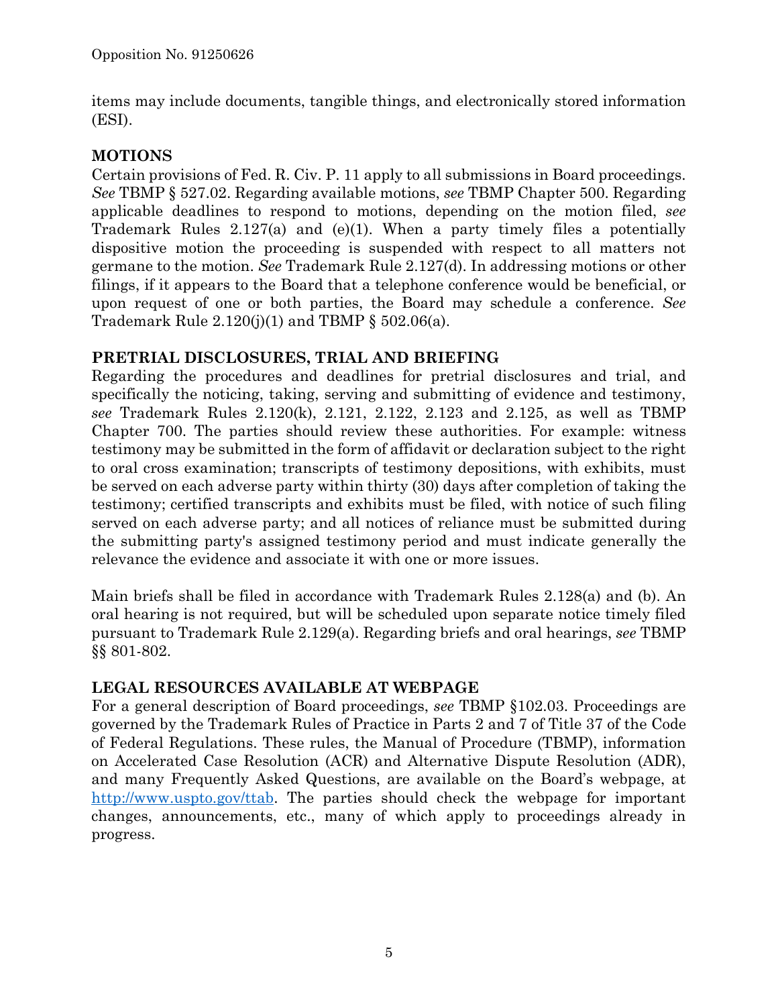items may include documents, tangible things, and electronically stored information (ESI).

# **MOTIONS**

Certain provisions of Fed. R. Civ. P. 11 apply to all submissions in Board proceedings. *See* TBMP § 527.02. Regarding available motions, *see* TBMP Chapter 500. Regarding applicable deadlines to respond to motions, depending on the motion filed, *see* Trademark Rules 2.127(a) and (e)(1). When a party timely files a potentially dispositive motion the proceeding is suspended with respect to all matters not germane to the motion. *See* Trademark Rule 2.127(d). In addressing motions or other filings, if it appears to the Board that a telephone conference would be beneficial, or upon request of one or both parties, the Board may schedule a conference. *See* Trademark Rule  $2.120(j)(1)$  and TBMP § 502.06(a).

# **PRETRIAL DISCLOSURES, TRIAL AND BRIEFING**

Regarding the procedures and deadlines for pretrial disclosures and trial, and specifically the noticing, taking, serving and submitting of evidence and testimony, *see* Trademark Rules 2.120(k), 2.121, 2.122, 2.123 and 2.125, as well as TBMP Chapter 700. The parties should review these authorities. For example: witness testimony may be submitted in the form of affidavit or declaration subject to the right to oral cross examination; transcripts of testimony depositions, with exhibits, must be served on each adverse party within thirty (30) days after completion of taking the testimony; certified transcripts and exhibits must be filed, with notice of such filing served on each adverse party; and all notices of reliance must be submitted during the submitting party's assigned testimony period and must indicate generally the relevance the evidence and associate it with one or more issues.

Main briefs shall be filed in accordance with Trademark Rules 2.128(a) and (b). An oral hearing is not required, but will be scheduled upon separate notice timely filed pursuant to Trademark Rule 2.129(a). Regarding briefs and oral hearings, *see* TBMP §§ 801-802.

## **LEGAL RESOURCES AVAILABLE AT WEBPAGE**

For a general description of Board proceedings, *see* TBMP §102.03. Proceedings are governed by the Trademark Rules of Practice in Parts 2 and 7 of Title 37 of the Code of Federal Regulations. These rules, the Manual of Procedure (TBMP), information on Accelerated Case Resolution (ACR) and Alternative Dispute Resolution (ADR), and many Frequently Asked Questions, are available on the Board's webpage, at http://www.uspto.gov/ttab. The parties should check the webpage for important changes, announcements, etc., many of which apply to proceedings already in progress.